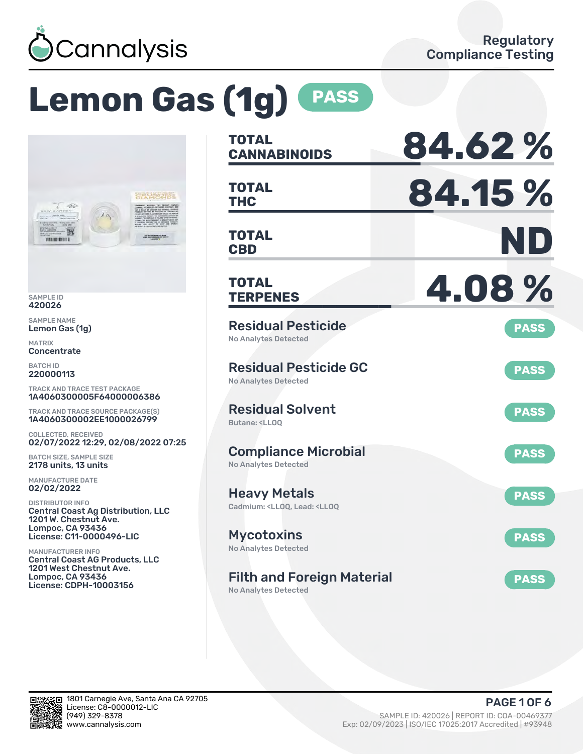

# **Lemon Gas (1g) PASS**



SAMPLE ID 420026

SAMPLE NAME Lemon Gas (1g)

MATRIX **Concentrate** 

BATCH ID 220000113

TRACK AND TRACE TEST PACKAGE 1A4060300005F64000006386

TRACK AND TRACE SOURCE PACKAGE(S) 1A4060300002EE1000026799

COLLECTED, RECEIVED 02/07/2022 12:29, 02/08/2022 07:25

BATCH SIZE, SAMPLE SIZE 2178 units, 13 units

MANUFACTURE DATE 02/02/2022

DISTRIBUTOR INFO Central Coast Ag Distribution, LLC 1201 W. Chestnut Ave. Lompoc, CA 93436 License: C11-0000496-LIC

MANUFACTURER INFO Central Coast AG Products, LLC 1201 West Chestnut Ave. Lompoc, CA 93436 License: CDPH-10003156

| <b>TOTAL</b><br><b>CANNABINOIDS</b>                                                          | 84.62%      |
|----------------------------------------------------------------------------------------------|-------------|
| <b>TOTAL</b><br><b>THC</b>                                                                   | 84.15 %     |
| TOTAL<br><b>CBD</b>                                                                          | ND          |
| <b>TOTAL</b><br><b>TERPENES</b>                                                              | 4.08%       |
| <b>Residual Pesticide</b><br><b>No Analytes Detected</b>                                     | <b>PASS</b> |
| <b>Residual Pesticide GC</b><br><b>No Analytes Detected</b>                                  | <b>PASS</b> |
| <b>Residual Solvent</b><br>Butane: <ll00< td=""><td><b>PASS</b></td></ll00<>                 | <b>PASS</b> |
| <b>Compliance Microbial</b><br><b>No Analytes Detected</b>                                   | <b>PASS</b> |
| <b>Heavy Metals</b><br>Cadmium: <ll00. <ll00<="" lead:="" td=""><td><b>PASS</b></td></ll00.> | <b>PASS</b> |
| <b>Mycotoxins</b><br>No Analytes Detected                                                    | <b>PASS</b> |
| <b>Filth and Foreign Material</b>                                                            | <b>PASS</b> |

No Analytes Detected

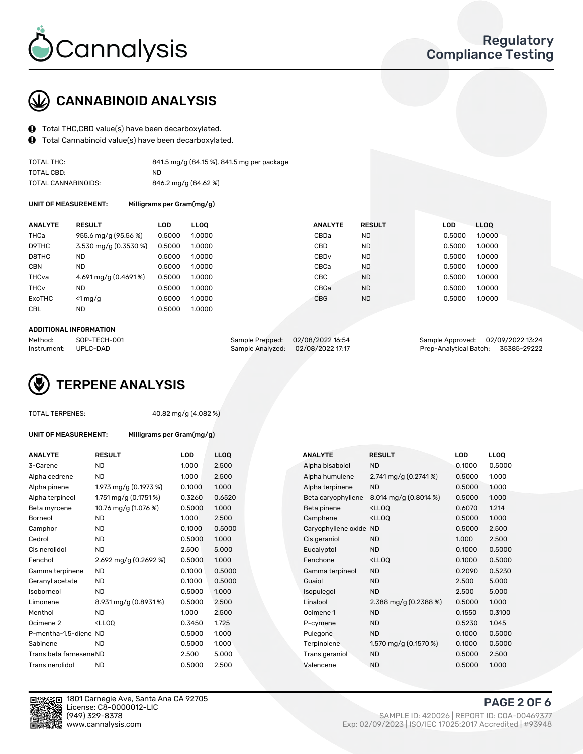

## CANNABINOID ANALYSIS

- $\bigoplus$  Total THC, CBD value(s) have been decarboxylated.
- Total Cannabinoid value(s) have been decarboxylated.  $\bf{0}$

| TOTAL THC:          | 841.5 mg/g (84.15 %), 841.5 mg per package |
|---------------------|--------------------------------------------|
| TOTAL CBD:          | ND.                                        |
| TOTAL CANNABINOIDS: | 846.2 mg/g (84.62 %)                       |

UNIT OF MEASUREMENT: Milligrams per Gram(mg/g)

| <b>RESULT</b>         | LOD    | <b>LLOO</b> | <b>ANALYTE</b>   | <b>RESULT</b> | <b>LOD</b> | LLOO   |
|-----------------------|--------|-------------|------------------|---------------|------------|--------|
| 955.6 mg/g (95.56 %)  | 0.5000 | 1.0000      | CBDa             | <b>ND</b>     | 0.5000     | 1.0000 |
| 3.530 mg/g (0.3530 %) |        | 1.0000      | CBD              | <b>ND</b>     | 0.5000     | 1.0000 |
| <b>ND</b>             | 0.5000 | 1.0000      | CBD <sub>v</sub> | <b>ND</b>     | 0.5000     | 1.0000 |
| <b>ND</b>             | 0.5000 | 1.0000      | CBCa             | <b>ND</b>     | 0.5000     | 1.0000 |
| 4.691 mg/g (0.4691%)  | 0.5000 | 1.0000      | <b>CBC</b>       | <b>ND</b>     | 0.5000     | 1.0000 |
| <b>ND</b>             | 0.5000 | 1.0000      | CBGa             | <b>ND</b>     | 0.5000     | 1.0000 |
| $<$ 1 mg/g            | 0.5000 | 1.0000      | <b>CBG</b>       | <b>ND</b>     | 0.5000     | 1.0000 |
| <b>ND</b>             | 0.5000 | 1.0000      |                  |               |            |        |
|                       |        | 0.5000      |                  |               |            |        |

#### ADDITIONAL INFORMATION

| Method:              | SOP-TECH-001 | Sample Prepped: 02/08/2022 16:54  | Sample Approved: 02/09/2022 13:24  |  |
|----------------------|--------------|-----------------------------------|------------------------------------|--|
| Instrument: UPLC-DAD |              | Sample Analyzed: 02/08/2022 17:17 | Prep-Analytical Batch: 35385-29222 |  |

# TERPENE ANALYSIS

| TOTAL TERPENES: |  |
|-----------------|--|
|-----------------|--|

40.82 mg/g (4.082 %)

| ANALYTE         | <b>RESULT</b>           |  |
|-----------------|-------------------------|--|
| 3-Carene        | ND                      |  |
| Alpha cedrene   | ND                      |  |
| Alpha pinene    | 1.973 mg/g (0.1973 %)   |  |
| Alpha terpineol | 1.751 mg/g $(0.1751\%)$ |  |
|                 |                         |  |

UNIT OF MEASUREMENT: Milligrams per Gram(mg/g)

| Alpha terpineol         | 1.75111197910.1751761                              | u.szou | U.OʻJ |
|-------------------------|----------------------------------------------------|--------|-------|
| Beta myrcene            | 10.76 mg/g (1.076 %)                               | 0.5000 | 1.000 |
| Borneol                 | ND                                                 | 1.000  | 2.500 |
| Camphor                 | ND                                                 | 0.1000 | 0.50  |
| Cedrol                  | ND                                                 | 0.5000 | 1.000 |
| Cis nerolidol           | ND                                                 | 2.500  | 5.000 |
| Fenchol                 | 2.692 mg/g $(0.2692\%)$                            | 0.5000 | 1.00C |
| Gamma terpinene         | ND                                                 | 0.1000 | 0.50  |
| Geranyl acetate         | ND.                                                | 0.1000 | 0.50( |
| Isoborneol              | ND                                                 | 0.5000 | 1.00C |
| Limonene                | 8.931 mg/g (0.8931%)                               | 0.5000 | 2.500 |
| Menthol                 | ND                                                 | 1.000  | 2.500 |
| Ocimene 2               | <lloo< td=""><td>0.3450</td><td>1.725</td></lloo<> | 0.3450 | 1.725 |
| P-mentha-1,5-diene ND   |                                                    | 0.5000 | 1.000 |
| Sabinene                | ND                                                 | 0.5000 | 1.000 |
| Trans beta farnesene ND |                                                    | 2.500  | 5.000 |
| Trans nerolidol         | ND                                                 | 0.5000 | 2.500 |
|                         |                                                    |        |       |





1801 Carnegie Ave, Santa Ana CA 92705 License: C8-0000012-LIC www.cannalysis.com Exp: 02/09/2023 | ISO/IEC 17025:2017 Accredited | #93948

PAGE 2 OF 6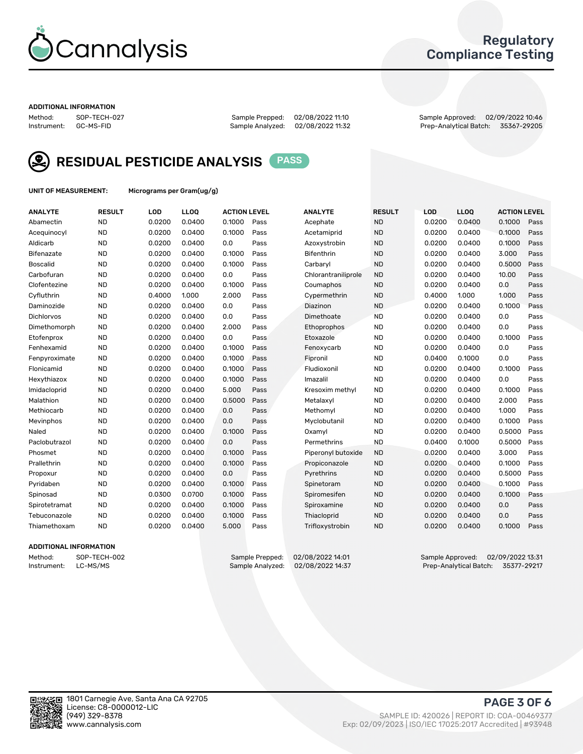

## Regulatory Compliance Testing

#### ADDITIONAL INFORMATION

Method: SOP-TECH-027 Sample Prepped: 02/08/2022 11:10 Sample Approved: 02/09/2022 10:46 Prep-Analytical Batch: 35367-29205



RESIDUAL PESTICIDE ANALYSIS PASS

UNIT OF MEASUREMENT: Micrograms per Gram(ug/g)

| <b>ANALYTE</b>    | <b>RESULT</b> | LOD    | LL <sub>OO</sub> | <b>ACTION LEVEL</b> |      | <b>ANALYTE</b>      | <b>RESULT</b> | <b>LOD</b> | <b>LLOQ</b> | <b>ACTION LEVEL</b> |      |
|-------------------|---------------|--------|------------------|---------------------|------|---------------------|---------------|------------|-------------|---------------------|------|
| Abamectin         | <b>ND</b>     | 0.0200 | 0.0400           | 0.1000              | Pass | Acephate            | <b>ND</b>     | 0.0200     | 0.0400      | 0.1000              | Pass |
| Acequinocyl       | <b>ND</b>     | 0.0200 | 0.0400           | 0.1000              | Pass | Acetamiprid         | <b>ND</b>     | 0.0200     | 0.0400      | 0.1000              | Pass |
| Aldicarb          | <b>ND</b>     | 0.0200 | 0.0400           | 0.0                 | Pass | Azoxystrobin        | <b>ND</b>     | 0.0200     | 0.0400      | 0.1000              | Pass |
| Bifenazate        | <b>ND</b>     | 0.0200 | 0.0400           | 0.1000              | Pass | <b>Bifenthrin</b>   | <b>ND</b>     | 0.0200     | 0.0400      | 3.000               | Pass |
| <b>Boscalid</b>   | <b>ND</b>     | 0.0200 | 0.0400           | 0.1000              | Pass | Carbaryl            | <b>ND</b>     | 0.0200     | 0.0400      | 0.5000              | Pass |
| Carbofuran        | <b>ND</b>     | 0.0200 | 0.0400           | 0.0                 | Pass | Chlorantraniliprole | <b>ND</b>     | 0.0200     | 0.0400      | 10.00               | Pass |
| Clofentezine      | <b>ND</b>     | 0.0200 | 0.0400           | 0.1000              | Pass | Coumaphos           | <b>ND</b>     | 0.0200     | 0.0400      | 0.0                 | Pass |
| Cyfluthrin        | <b>ND</b>     | 0.4000 | 1.000            | 2.000               | Pass | Cypermethrin        | <b>ND</b>     | 0.4000     | 1.000       | 1.000               | Pass |
| Daminozide        | <b>ND</b>     | 0.0200 | 0.0400           | 0.0                 | Pass | Diazinon            | <b>ND</b>     | 0.0200     | 0.0400      | 0.1000              | Pass |
| <b>Dichlorvos</b> | <b>ND</b>     | 0.0200 | 0.0400           | 0.0                 | Pass | Dimethoate          | <b>ND</b>     | 0.0200     | 0.0400      | 0.0                 | Pass |
| Dimethomorph      | <b>ND</b>     | 0.0200 | 0.0400           | 2.000               | Pass | <b>Ethoprophos</b>  | <b>ND</b>     | 0.0200     | 0.0400      | 0.0                 | Pass |
| Etofenprox        | <b>ND</b>     | 0.0200 | 0.0400           | 0.0                 | Pass | Etoxazole           | <b>ND</b>     | 0.0200     | 0.0400      | 0.1000              | Pass |
| Fenhexamid        | <b>ND</b>     | 0.0200 | 0.0400           | 0.1000              | Pass | Fenoxycarb          | <b>ND</b>     | 0.0200     | 0.0400      | 0.0                 | Pass |
| Fenpyroximate     | <b>ND</b>     | 0.0200 | 0.0400           | 0.1000              | Pass | Fipronil            | <b>ND</b>     | 0.0400     | 0.1000      | 0.0                 | Pass |
| Flonicamid        | <b>ND</b>     | 0.0200 | 0.0400           | 0.1000              | Pass | Fludioxonil         | <b>ND</b>     | 0.0200     | 0.0400      | 0.1000              | Pass |
| Hexythiazox       | <b>ND</b>     | 0.0200 | 0.0400           | 0.1000              | Pass | Imazalil            | <b>ND</b>     | 0.0200     | 0.0400      | 0.0                 | Pass |
| Imidacloprid      | <b>ND</b>     | 0.0200 | 0.0400           | 5.000               | Pass | Kresoxim methyl     | <b>ND</b>     | 0.0200     | 0.0400      | 0.1000              | Pass |
| Malathion         | <b>ND</b>     | 0.0200 | 0.0400           | 0.5000              | Pass | Metalaxyl           | <b>ND</b>     | 0.0200     | 0.0400      | 2.000               | Pass |
| Methiocarb        | <b>ND</b>     | 0.0200 | 0.0400           | 0.0                 | Pass | Methomyl            | <b>ND</b>     | 0.0200     | 0.0400      | 1.000               | Pass |
| Mevinphos         | <b>ND</b>     | 0.0200 | 0.0400           | 0.0                 | Pass | Myclobutanil        | <b>ND</b>     | 0.0200     | 0.0400      | 0.1000              | Pass |
| Naled             | <b>ND</b>     | 0.0200 | 0.0400           | 0.1000              | Pass | Oxamyl              | <b>ND</b>     | 0.0200     | 0.0400      | 0.5000              | Pass |
| Paclobutrazol     | <b>ND</b>     | 0.0200 | 0.0400           | 0.0                 | Pass | Permethrins         | <b>ND</b>     | 0.0400     | 0.1000      | 0.5000              | Pass |
| Phosmet           | <b>ND</b>     | 0.0200 | 0.0400           | 0.1000              | Pass | Piperonyl butoxide  | <b>ND</b>     | 0.0200     | 0.0400      | 3.000               | Pass |
| Prallethrin       | <b>ND</b>     | 0.0200 | 0.0400           | 0.1000              | Pass | Propiconazole       | <b>ND</b>     | 0.0200     | 0.0400      | 0.1000              | Pass |
| Propoxur          | <b>ND</b>     | 0.0200 | 0.0400           | 0.0                 | Pass | Pyrethrins          | <b>ND</b>     | 0.0200     | 0.0400      | 0.5000              | Pass |
| Pyridaben         | <b>ND</b>     | 0.0200 | 0.0400           | 0.1000              | Pass | Spinetoram          | <b>ND</b>     | 0.0200     | 0.0400      | 0.1000              | Pass |
| Spinosad          | <b>ND</b>     | 0.0300 | 0.0700           | 0.1000              | Pass | Spiromesifen        | <b>ND</b>     | 0.0200     | 0.0400      | 0.1000              | Pass |
| Spirotetramat     | <b>ND</b>     | 0.0200 | 0.0400           | 0.1000              | Pass | Spiroxamine         | <b>ND</b>     | 0.0200     | 0.0400      | 0.0                 | Pass |
| Tebuconazole      | <b>ND</b>     | 0.0200 | 0.0400           | 0.1000              | Pass | Thiacloprid         | <b>ND</b>     | 0.0200     | 0.0400      | 0.0                 | Pass |
| Thiamethoxam      | <b>ND</b>     | 0.0200 | 0.0400           | 5.000               | Pass | Trifloxystrobin     | <b>ND</b>     | 0.0200     | 0.0400      | 0.1000              | Pass |

### ADDITIONAL INFORMATION

Method: SOP-TECH-002 Sample Prepped: 02/08/2022 14:01 Sample Approved: 02/09/2022 13:31<br>Instrument: LC-MS/MS Sample Analyzed: 02/08/2022 14:37 Prep-Analytical Batch: 35377-29217 Prep-Analytical Batch: 35377-29217

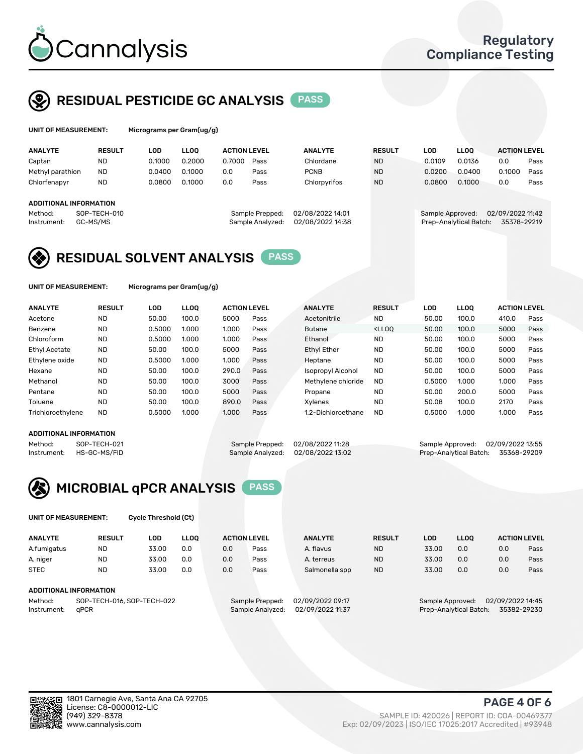

## RESIDUAL PESTICIDE GC ANALYSIS PASS

| UNIT OF MEASUREMENT: |               |        | Micrograms per Gram(ug/g) |                     |      |                |               |        |             |                     |      |
|----------------------|---------------|--------|---------------------------|---------------------|------|----------------|---------------|--------|-------------|---------------------|------|
| <b>ANALYTE</b>       | <b>RESULT</b> | LOD    | LLOO                      | <b>ACTION LEVEL</b> |      | <b>ANALYTE</b> | <b>RESULT</b> | LOD    | <b>LLOO</b> | <b>ACTION LEVEL</b> |      |
| Captan               | <b>ND</b>     | 0.1000 | 0.2000                    | 0.7000              | Pass | Chlordane      | <b>ND</b>     | 0.0109 | 0.0136      | 0.0                 | Pass |
| Methyl parathion     | ND            | 0.0400 | 0.1000                    | 0.0                 | Pass | <b>PCNB</b>    | <b>ND</b>     | 0.0200 | 0.0400      | 0.1000              | Pass |
| Chlorfenapyr         | <b>ND</b>     | 0.0800 | 0.1000                    | 0.0                 | Pass | Chlorpyrifos   | <b>ND</b>     | 0.0800 | 0.1000      | 0.0                 | Pass |
|                      |               |        |                           |                     |      |                |               |        |             |                     |      |

## ADDITIONAL INFORMATION

| - Method:            | SUP-TECH-010 | Sample Prepped: UZ/U8/ZUZZ 14:U1  | Sample Approved: U2/U9/2022 T1:42  |  |
|----------------------|--------------|-----------------------------------|------------------------------------|--|
| Instrument: GC-MS/MS |              | Sample Analyzed: 02/08/2022 14:38 | Prep-Analytical Batch: 35378-29219 |  |
|                      |              |                                   |                                    |  |

Method: SOP-TECH-010 Sample Prepped: 02/08/2022 14:01 Sample Approved: 02/09/2022 11:42



UNIT OF MEASUREMENT: Micrograms per Gram(ug/g)

| <b>ANALYTE</b>       | <b>RESULT</b> | LOD    | <b>LLOO</b> | <b>ACTION LEVEL</b> |      | <b>ANALYTE</b>     | <b>RESULT</b>                                                               | <b>LOD</b> | <b>LLOO</b> | <b>ACTION LEVEL</b> |      |
|----------------------|---------------|--------|-------------|---------------------|------|--------------------|-----------------------------------------------------------------------------|------------|-------------|---------------------|------|
| Acetone              | <b>ND</b>     | 50.00  | 100.0       | 5000                | Pass | Acetonitrile       | <b>ND</b>                                                                   | 50.00      | 100.0       | 410.0               | Pass |
| Benzene              | <b>ND</b>     | 0.5000 | 1.000       | 1.000               | Pass | <b>Butane</b>      | <lloo< td=""><td>50.00</td><td>100.0</td><td>5000</td><td>Pass</td></lloo<> | 50.00      | 100.0       | 5000                | Pass |
| Chloroform           | <b>ND</b>     | 0.5000 | 1.000       | 1.000               | Pass | Ethanol            | <b>ND</b>                                                                   | 50.00      | 100.0       | 5000                | Pass |
| <b>Ethyl Acetate</b> | <b>ND</b>     | 50.00  | 100.0       | 5000                | Pass | <b>Ethyl Ether</b> | <b>ND</b>                                                                   | 50.00      | 100.0       | 5000                | Pass |
| Ethylene oxide       | <b>ND</b>     | 0.5000 | 1.000       | 1.000               | Pass | Heptane            | <b>ND</b>                                                                   | 50.00      | 100.0       | 5000                | Pass |
| Hexane               | <b>ND</b>     | 50.00  | 100.0       | 290.0               | Pass | Isopropyl Alcohol  | <b>ND</b>                                                                   | 50.00      | 100.0       | 5000                | Pass |
| Methanol             | <b>ND</b>     | 50.00  | 100.0       | 3000                | Pass | Methylene chloride | <b>ND</b>                                                                   | 0.5000     | 1.000       | 1.000               | Pass |
| Pentane              | <b>ND</b>     | 50.00  | 100.0       | 5000                | Pass | Propane            | <b>ND</b>                                                                   | 50.00      | 200.0       | 5000                | Pass |
| Toluene              | <b>ND</b>     | 50.00  | 100.0       | 890.0               | Pass | Xvlenes            | <b>ND</b>                                                                   | 50.08      | 100.0       | 2170                | Pass |
| Trichloroethylene    | <b>ND</b>     | 0.5000 | 1.000       | 1.000               | Pass | 1.2-Dichloroethane | <b>ND</b>                                                                   | 0.5000     | 1.000       | 1.000               | Pass |

#### ADDITIONAL INFORMATION

Method: SOP-TECH-021 Sample Prepped: 02/08/2022 11:28 Sample Approved: 02/09/2022 13:55<br>Instrument: HS-GC-MS/FID Sample Analyzed: 02/08/2022 13:02 Prep-Analytical Batch: 35368-29209

Prep-Analytical Batch: 35368-29209



UNIT OF MEASUREMENT: Cycle Threshold (Ct)

| <b>ANALYTE</b>                        | <b>RESULT</b>                 | LOD   | <b>LLOO</b> |                 | <b>ACTION LEVEL</b> | <b>ANALYTE</b> | <b>RESULT</b>    | LOD   | LL <sub>00</sub> |     | <b>ACTION LEVEL</b> |
|---------------------------------------|-------------------------------|-------|-------------|-----------------|---------------------|----------------|------------------|-------|------------------|-----|---------------------|
| A.fumigatus                           | <b>ND</b>                     | 33.00 | 0.0         | 0.0             | Pass                | A. flavus      | <b>ND</b>        | 33.00 | 0.0              | 0.0 | Pass                |
| A. niger                              | <b>ND</b>                     | 33.00 | 0.0         | 0.0             | Pass                | A. terreus     | <b>ND</b>        | 33.00 | 0.0              | 0.0 | Pass                |
| <b>STEC</b>                           | <b>ND</b>                     | 33.00 | 0.0         | 0.0             | Pass                | Salmonella spp | <b>ND</b>        | 33.00 | 0.0              | 0.0 | Pass                |
|                                       | <b>ADDITIONAL INFORMATION</b> |       |             |                 |                     |                |                  |       |                  |     |                     |
| SOP-TECH-016, SOP-TECH-022<br>Method: |                               |       |             | Sample Prepped: | 02/09/2022 09:17    |                | Sample Approved: |       | 02/09/2022 14:45 |     |                     |

Instrument: qPCR Sample Analyzed: 02/09/2022 11:37 Prep-Analytical Batch: 35382-29230

PAGE 4 OF 6

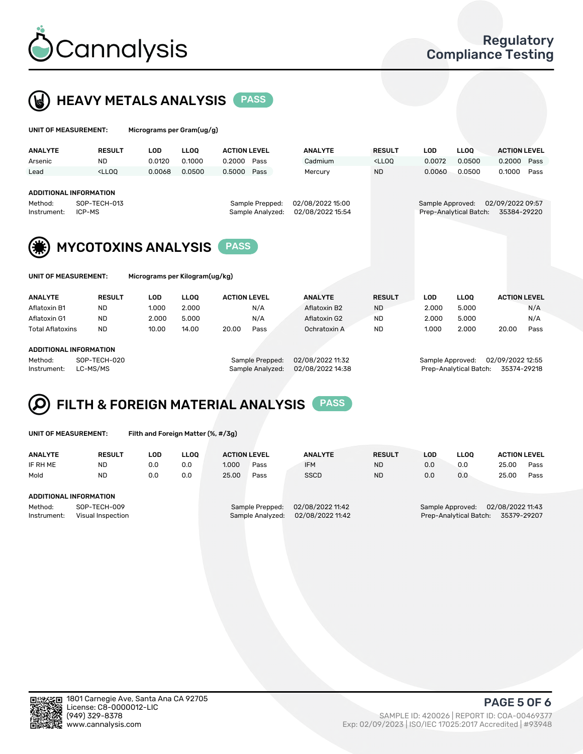



UNIT OF MEASUREMENT: Micrograms per Gram(ug/g)

| <b>ANALYTE</b>                                                                                                                                                   | <b>RESULT</b>                                                                                                                                                               | LOD    | <b>LLOO</b> | <b>ACTION LEVEL</b> |      | <b>ANALYTE</b> | <b>RESULT</b>                                                                   | <b>LOD</b>       | <b>LLOO</b>            | <b>ACTION LEVEL</b>             |      |
|------------------------------------------------------------------------------------------------------------------------------------------------------------------|-----------------------------------------------------------------------------------------------------------------------------------------------------------------------------|--------|-------------|---------------------|------|----------------|---------------------------------------------------------------------------------|------------------|------------------------|---------------------------------|------|
| Arsenic                                                                                                                                                          | <b>ND</b>                                                                                                                                                                   | 0.0120 | 0.1000      | 0.2000              | Pass | Cadmium        | <lloo< th=""><th>0.0072</th><th>0.0500</th><th>0.2000</th><th>Pass</th></lloo<> | 0.0072           | 0.0500                 | 0.2000                          | Pass |
| Lead                                                                                                                                                             | <lloo< th=""><th>0.0068</th><th>0.0500</th><th>0.5000</th><th>Pass</th><th>Mercury</th><th><b>ND</b></th><th>0.0060</th><th>0.0500</th><th>0.1000</th><th>Pass</th></lloo<> | 0.0068 | 0.0500      | 0.5000              | Pass | Mercury        | <b>ND</b>                                                                       | 0.0060           | 0.0500                 | 0.1000                          | Pass |
| <b>ADDITIONAL INFORMATION</b><br>02/08/2022 15:00<br>SOP-TECH-013<br>Sample Prepped:<br>Method:<br>02/08/2022 15:54<br>ICP-MS<br>Sample Analyzed:<br>Instrument: |                                                                                                                                                                             |        |             |                     |      |                |                                                                                 | Sample Approved: | Prep-Analytical Batch: | 02/09/2022 09:57<br>35384-29220 |      |
|                                                                                                                                                                  | <b>MYCOTOXINS ANALYSIS</b>                                                                                                                                                  |        |             |                     |      |                |                                                                                 |                  |                        |                                 |      |

UNIT OF MEASUREMENT: Micrograms per Kilogram(ug/kg)

| <b>ANALYTE</b>          | <b>RESULT</b> | LOD   | <b>LLOO</b> | <b>ACTION LEVEL</b> |      | <b>ANALYTE</b> | <b>RESULT</b> | LOD   | <b>LLOO</b> | <b>ACTION LEVEL</b> |      |  |
|-------------------------|---------------|-------|-------------|---------------------|------|----------------|---------------|-------|-------------|---------------------|------|--|
| Aflatoxin B1            | <b>ND</b>     | 1.000 | 2.000       |                     | N/A  | Aflatoxin B2   | <b>ND</b>     | 2.000 | 5.000       |                     | N/A  |  |
| Aflatoxin G1            | <b>ND</b>     | 2.000 | 5.000       |                     | N/A  | Aflatoxin G2   | <b>ND</b>     | 2.000 | 5.000       |                     | N/A  |  |
| <b>Total Aflatoxins</b> | <b>ND</b>     | 10.00 | 14.00       | 20.00               | Pass | Ochratoxin A   | <b>ND</b>     | 1.000 | 2.000       | 20.00               | Pass |  |
|                         |               |       |             |                     |      |                |               |       |             |                     |      |  |
| ABBITIONAL INFORMATION  |               |       |             |                     |      |                |               |       |             |                     |      |  |

#### ADDITIONAL INFORMATION

Method: SOP-TECH-020 Sample Prepped: 02/08/2022 11:32 Sample Approved: 02/09/2022 12:55 Instrument: LC-MS/MS Sample Analyzed: 02/08/2022 14:38 Prep-Analytical Batch: 35374-29218

# FILTH & FOREIGN MATERIAL ANALYSIS PASS

UNIT OF MEASUREMENT: Filth and Foreign Matter (%, #/3g)

| <b>ANALYTE</b>                                              | <b>RESULT</b>          | LOD | LLOO | <b>ACTION LEVEL</b> |                                     | <b>ANALYTE</b>                       | <b>RESULT</b>                                                                 | LOD | <b>LLOO</b> | <b>ACTION LEVEL</b> |      |
|-------------------------------------------------------------|------------------------|-----|------|---------------------|-------------------------------------|--------------------------------------|-------------------------------------------------------------------------------|-----|-------------|---------------------|------|
| IF RH ME                                                    | <b>ND</b>              | 0.0 | 0.0  | 1.000               | Pass                                | <b>IFM</b>                           | <b>ND</b>                                                                     | 0.0 | 0.0         | 25.00               | Pass |
| Mold                                                        | <b>ND</b>              | 0.0 | 0.0  | 25.00               | Pass                                | <b>SSCD</b>                          | <b>ND</b>                                                                     | 0.0 | 0.0         | 25.00               | Pass |
|                                                             | ADDITIONAL INFORMATION |     |      |                     |                                     |                                      |                                                                               |     |             |                     |      |
| Method:<br>SOP-TECH-009<br>Instrument:<br>Visual Inspection |                        |     |      |                     | Sample Prepped:<br>Sample Analyzed: | 02/08/2022 11:42<br>02/08/2022 11:42 | 02/08/2022 11:43<br>Sample Approved:<br>35379-29207<br>Prep-Analytical Batch: |     |             |                     |      |